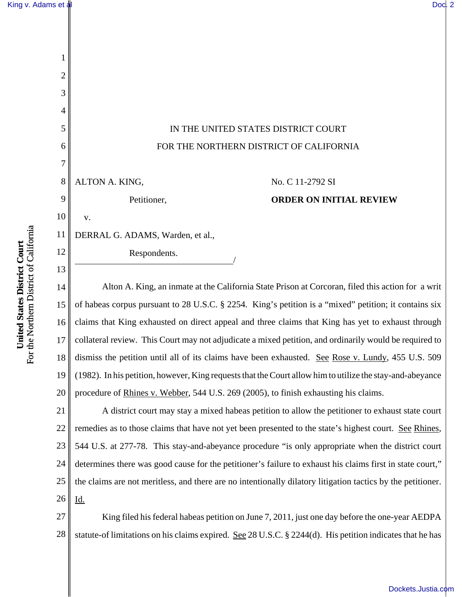1

2

3

4

5

6

7

9

10

11

12

13



8 ALTON A. KING,

v.

Petitioner,

## No. C 11-2792 SI **ORDER ON INITIAL REVIEW**

DERRAL G. ADAMS, Warden, et al.,

Respondents.

14 15 16 17 18 19 20 Alton A. King, an inmate at the California State Prison at Corcoran, filed this action for a writ of habeas corpus pursuant to 28 U.S.C. § 2254. King's petition is a "mixed" petition; it contains six claims that King exhausted on direct appeal and three claims that King has yet to exhaust through collateral review. This Court may not adjudicate a mixed petition, and ordinarily would be required to dismiss the petition until all of its claims have been exhausted. See Rose v. Lundy, 455 U.S. 509 (1982). In his petition, however, King requests that the Court allow him to utilize the stay-and-abeyance procedure of Rhines v. Webber, 544 U.S. 269 (2005), to finish exhausting his claims.

21 22 23 24 25 26 A district court may stay a mixed habeas petition to allow the petitioner to exhaust state court remedies as to those claims that have not yet been presented to the state's highest court. See Rhines, 544 U.S. at 277-78. This stay-and-abeyance procedure "is only appropriate when the district court determines there was good cause for the petitioner's failure to exhaust his claims first in state court," the claims are not meritless, and there are no intentionally dilatory litigation tactics by the petitioner. Id.

27 28 King filed his federal habeas petition on June 7, 2011, just one day before the one-year AEDPA statute-of limitations on his claims expired. See 28 U.S.C. § 2244(d). His petition indicates that he has